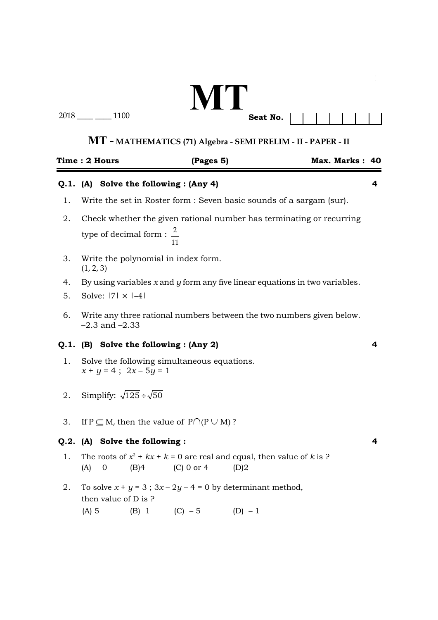# **MT**

2018 \_\_\_\_ \_\_\_\_ 1100

**Seat No.**

### **MT - MATHEMATICS (71) Algebra - SEMI PRELIM - II - PAPER - II**

|    | Time : 2 Hours                                                                                                                    |  | (Pages 5)                              |  | Max. Marks: 40 |   |
|----|-----------------------------------------------------------------------------------------------------------------------------------|--|----------------------------------------|--|----------------|---|
|    |                                                                                                                                   |  | Q.1. (A) Solve the following : (Any 4) |  |                | 4 |
| 1. | Write the set in Roster form : Seven basic sounds of a sargam (sur).                                                              |  |                                        |  |                |   |
| 2. | Check whether the given rational number has terminating or recurring<br>type of decimal form : $\frac{2}{x}$<br>11                |  |                                        |  |                |   |
| 3. | Write the polynomial in index form.<br>(1, 2, 3)                                                                                  |  |                                        |  |                |   |
| 4. | By using variables $x$ and $y$ form any five linear equations in two variables.                                                   |  |                                        |  |                |   |
| 5. | Solve: $ 7  \times  -4 $                                                                                                          |  |                                        |  |                |   |
| 6. | Write any three rational numbers between the two numbers given below.<br>$-2.3$ and $-2.33$                                       |  |                                        |  |                |   |
|    | Q.1. (B) Solve the following : (Any 2)<br>4                                                                                       |  |                                        |  |                |   |
| 1. | Solve the following simultaneous equations.<br>$x + y = 4$ ; $2x - 5y = 1$                                                        |  |                                        |  |                |   |
| 2. | Simplify: $\sqrt{125} \div \sqrt{50}$                                                                                             |  |                                        |  |                |   |
| 3. | If $P \subseteq M$ , then the value of $P \cap (P \cup M)$ ?                                                                      |  |                                        |  |                |   |
|    | Q.2. (A) Solve the following :<br>4                                                                                               |  |                                        |  |                |   |
| 1. | The roots of $x^2 + kx + k = 0$ are real and equal, then value of k is ?<br>(A)<br>$\overline{0}$<br>(B)4<br>$(C)$ 0 or 4<br>(D)2 |  |                                        |  |                |   |
| 2. | To solve $x + y = 3$ ; $3x - 2y - 4 = 0$ by determinant method,<br>then value of D is ?<br>(B) 1 (C) $-5$ (D) $-1$<br>$(A)$ 5     |  |                                        |  |                |   |
|    |                                                                                                                                   |  |                                        |  |                |   |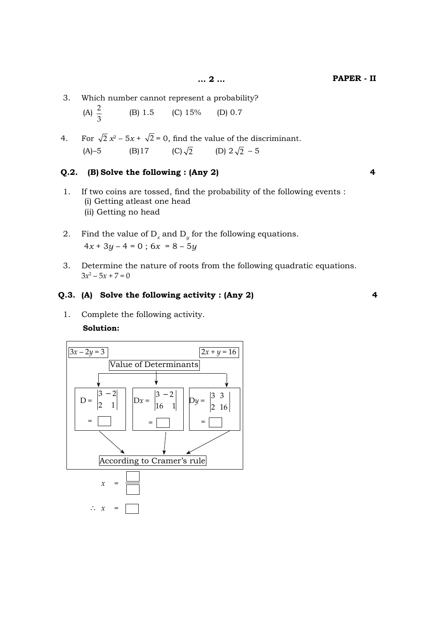3. Which number cannot represent a probability?

(A) 
$$
\frac{2}{3}
$$
 (B) 1.5 (C) 15% (D) 0.7

4. For  $\sqrt{2} x^2 - 5x + \sqrt{2} = 0$ , find the value of the discriminant. (A)–5 (B) 17 (C)  $\sqrt{2}$  (D)  $2\sqrt{2}$  – 5

#### **Q.2. (B) Solve the following : (Any 2) 4**

- 1. If two coins are tossed, find the probability of the following events : (i) Getting atleast one head (ii) Getting no head
- 2. Find the value of  $D_x$  and  $D_y$  for the following equations.  $4x + 3y - 4 = 0$ ;  $6x = 8 - 5y$
- 3. Determine the nature of roots from the following quadratic equations.  $3x^2 - 5x + 7 = 0$

#### **Q.3. (A) Solve the following activity : (Any 2) 4**

1. Complete the following activity.

#### **Solution:**

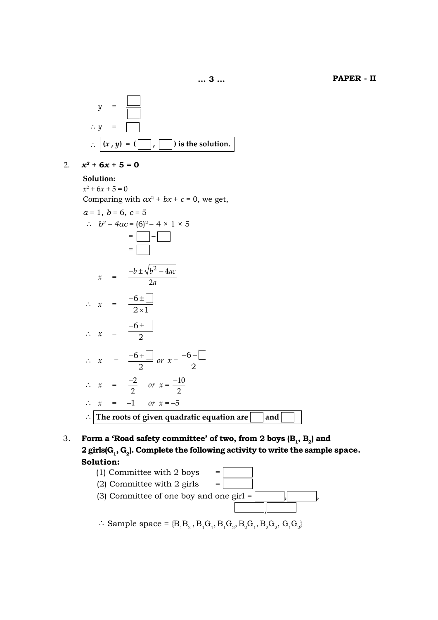$$
y = \boxed{\boxed{\phantom{000}}}
$$
  

$$
\therefore y = \boxed{\phantom{000}}.
$$
  

$$
\therefore \boxed{(x, y) = (\boxed{\phantom{000}}; \boxed{\phantom{000}}) \text{ is the solution.}
$$

2. 
$$
x^2 + 6x + 5 = 0
$$

 **Solution:**

 $x^2 + 6x + 5 = 0$ Comparing with  $ax^2 + bx + c = 0$ , we get,  $a = 1, b = 6, c = 5$  $\therefore$   $b^2 - 4ac = (6)^2 - 4 \times 1 \times 5$  $=\square$  –  $\square$  $=$   $\Box$  $x = \frac{-b \pm \sqrt{b^2 - 4ac}}{2a}$  $^{2}-4$ 2  $\therefore$   $x = \frac{-6 \pm 1}{2 \times 1}$  $-6$  $\pm$ 

$$
\therefore x = \frac{2 \times 1}{2}
$$
  

$$
\therefore x = \frac{-6 \pm \boxed{2}}{2}
$$

$$
\therefore x = \frac{-6 + \boxed{2}}{2} \text{ or } x = \frac{-6 - \boxed{2}}{2}
$$
  

$$
\therefore x = \frac{-2}{2} \text{ or } x = \frac{-10}{2}
$$

 $\therefore$   $x = -1$  *or*  $x = -5$  $\therefore$  The roots of given quadratic equation are **The** 3 and

3. **Form a 'Road safety committee' of two, from 2 boys (B<sub>1</sub>, B<sub>2</sub>) and** 2 girls(G<sub>1</sub>, G<sub>2</sub>). Complete the following activity to write the sample space.  **Solution:**



 $\therefore$  Sample space = {B<sub>1</sub>B<sub>2</sub>, B<sub>1</sub>G<sub>1</sub>, B<sub>1</sub>G<sub>2</sub>, B<sub>2</sub>G<sub>1</sub>, B<sub>2</sub>G<sub>2</sub>, G<sub>1</sub>G<sub>2</sub>}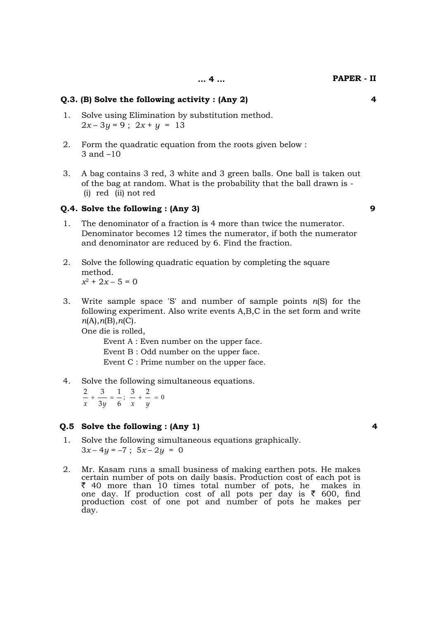#### **Q.3. (B) Solve the following activity : (Any 2) 4**

- 1. Solve using Elimination by substitution method.  $2x - 3y = 9$ ;  $2x + y = 13$
- 2. Form the quadratic equation from the roots given below : 3 and –10
- 3. A bag contains 3 red, 3 white and 3 green balls. One ball is taken out of the bag at random. What is the probability that the ball drawn is - (i) red (ii) not red

#### **Q.4. Solve the following : (Any 3) 9**

- 1. The denominator of a fraction is 4 more than twice the numerator. Denominator becomes 12 times the numerator, if both the numerator and denominator are reduced by 6. Find the fraction.
- 2. Solve the following quadratic equation by completing the square method.  $x^2 + 2x - 5 = 0$
- 3. Write sample space 'S' and number of sample points *n*(S) for the following experiment. Also write events A,B,C in the set form and write  *n*(A),*n*(B),*n*(C).

One die is rolled,

 Event A : Even number on the upper face. Event B : Odd number on the upper face. Event C : Prime number on the upper face.

4. Solve the following simultaneous equations.

 $2 + 3 = 1, 3 + 2 = 0$ *x* 3*y* 6 *x y* 

#### **Q.5 Solve the following : (Any 1) 4**

- 1. Solve the following simultaneous equations graphically.  $3x-4y=-7$ ;  $5x-2y = 0$
- 2. Mr. Kasam runs a small business of making earthen pots. He makes certain number of pots on daily basis. Production cost of each pot is  $\bar{z}$  40 more than 10 times total number of pots, he makes in one day. If production cost of all pots per day is  $\bar{\tau}$  600, find production cost of one pot and number of pots he makes per day.